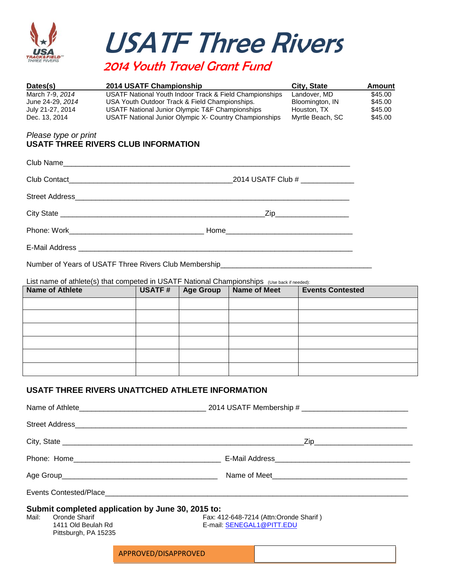

 USATF Three Rivers 2014 Youth Travel Grant Fund

| Dates(s)         | 2014 USATF Championship                                 | City, State      | Amount  |
|------------------|---------------------------------------------------------|------------------|---------|
| March 7-9, 2014  | USATF National Youth Indoor Track & Field Championships | Landover. MD     | \$45.00 |
| June 24-29, 2014 | USA Youth Outdoor Track & Field Championships.          | Bloomington, IN  | \$45.00 |
| July 21-27, 2014 | USATF National Junior Olympic T&F Championships         | Houston, TX      | \$45.00 |
| Dec. 13, 2014    | USATF National Junior Olympic X- Country Championships  | Myrtle Beach, SC | \$45.00 |

## *Please type or print*  **USATF THREE RIVERS CLUB INFORMATION**

| 2014 USATF Club # _____________ |
|---------------------------------|
|                                 |
| _Zip_______________________     |
|                                 |
|                                 |
|                                 |

Number of Years of USATF Three Rivers Club Membership\_

List name of athlete(s) that competed in USATF National Championships (Use back if needed):

| Name of Athlete | USATF# | <b>Age Group</b> | <b>Name of Meet</b> | <b>Events Contested</b> |
|-----------------|--------|------------------|---------------------|-------------------------|
|                 |        |                  |                     |                         |
|                 |        |                  |                     |                         |
|                 |        |                  |                     |                         |
|                 |        |                  |                     |                         |
|                 |        |                  |                     |                         |
|                 |        |                  |                     |                         |

## **USATF THREE RIVERS UNATTCHED ATHLETE INFORMATION**

| Submit completed application by June 30, 2015 to:<br>Mail:<br>Oronde Sharif<br>Fax: 412-648-7214 (Attn:Oronde Sharif)<br>E-mail: SENEGAL1@PITT.EDU<br>1411 Old Beulah Rd<br>Pittsburgh, PA 15235 |  |                      |  |
|--------------------------------------------------------------------------------------------------------------------------------------------------------------------------------------------------|--|----------------------|--|
|                                                                                                                                                                                                  |  | APPROVED/DISAPPROVED |  |